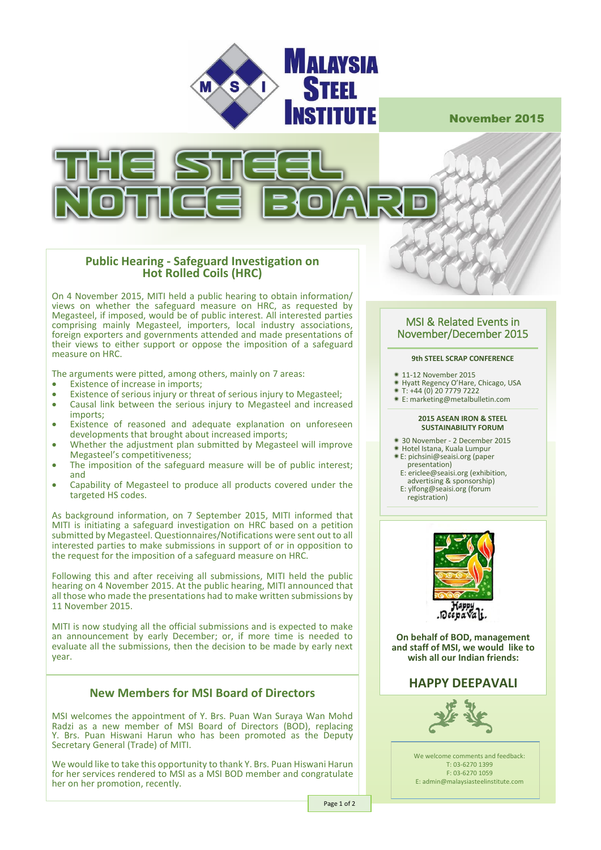

November 2015



### **Public Hearing - Safeguard Investigation on Hot Rolled Coils (HRC)**

On 4 November 2015, MITI held a public hearing to obtain information/ views on whether the safeguard measure on HRC, as requested by Megasteel, if imposed, would be of public interest. All interested parties comprising mainly Megasteel, importers, local industry associations, foreign exporters and governments attended and made presentations of their views to either support or oppose the imposition of a safeguard measure on HRC.

The arguments were pitted, among others, mainly on 7 areas:

- Existence of increase in imports;
- Existence of serious injury or threat of serious injury to Megasteel;<br>• Causal link between the serious injury to Megasteel and increase
- Causal link between the serious injury to Megasteel and increased imports;
- Existence of reasoned and adequate explanation on unforeseen developments that brought about increased imports;
- Whether the adjustment plan submitted by Megasteel will improve Megasteel's competitiveness;
- The imposition of the safeguard measure will be of public interest; and
- Capability of Megasteel to produce all products covered under the targeted HS codes.

As background information, on 7 September 2015, MITI informed that MITI is initiating a safeguard investigation on HRC based on a petition submitted by Megasteel. Questionnaires/Notifications were sent out to all interested parties to make submissions in support of or in opposition to the request for the imposition of a safeguard measure on HRC.

Following this and after receiving all submissions, MITI held the public hearing on 4 November 2015. At the public hearing, MITI announced that all those who made the presentations had to make written submissions by 11 November 2015.

MITI is now studying all the official submissions and is expected to make an announcement by early December; or, if more time is needed to evaluate all the submissions, then the decision to be made by early next year.

## **New Members for MSI Board of Directors**

MSI welcomes the appointment of Y. Brs. Puan Wan Suraya Wan Mohd Radzi as a new member of MSI Board of Directors (BOD), replacing Y. Brs. Puan Hiswani Harun who has been promoted as the Deputy Secretary General (Trade) of MITI.

We would like to take this opportunity to thank Y. Brs. Puan Hiswani Harun for her services rendered to MSI as a MSI BOD member and congratulate her on her promotion, recently.

#### MSI & Related Events in November/December 2015

#### **9th STEEL SCRAP CONFERENCE**

- 11-12 November 2015
- **EXAMPLE REGULARS REGULAR**<br>**\*** Hyatt Regency O'Hare, Chicago, USA
- $*$  T: +44 (0) 20 7779 7222
- E[: marketing@metalbulletin.com](mailto:marketing@metalbulletin.com)

#### **2015 ASEAN IRON & STEEL SUSTAINABILITY FORUM**

- 30 November 2 December 2015
- \* So November 2 Becember<br>\* Hotel Istana, Kuala Lumpur
- **Example 18 Second** Campus 2011 presentation)
- E[: ericlee@seaisi.org](mailto:ericlee@seaisi.org) (exhibition, advertising & sponsorship)
- E[: ylfong@seaisi.org](mailto:ylfong@seaisi.org) (forum registration)



**On behalf of BOD, management and staff of MSI, we would like to wish all our Indian friends:**

### **HAPPY DEEPAVALI**



We welcome comments and feedback: T: 03-6270 1399 F: 03-6270 1059 E: admin@malaysiasteelinstitute.com